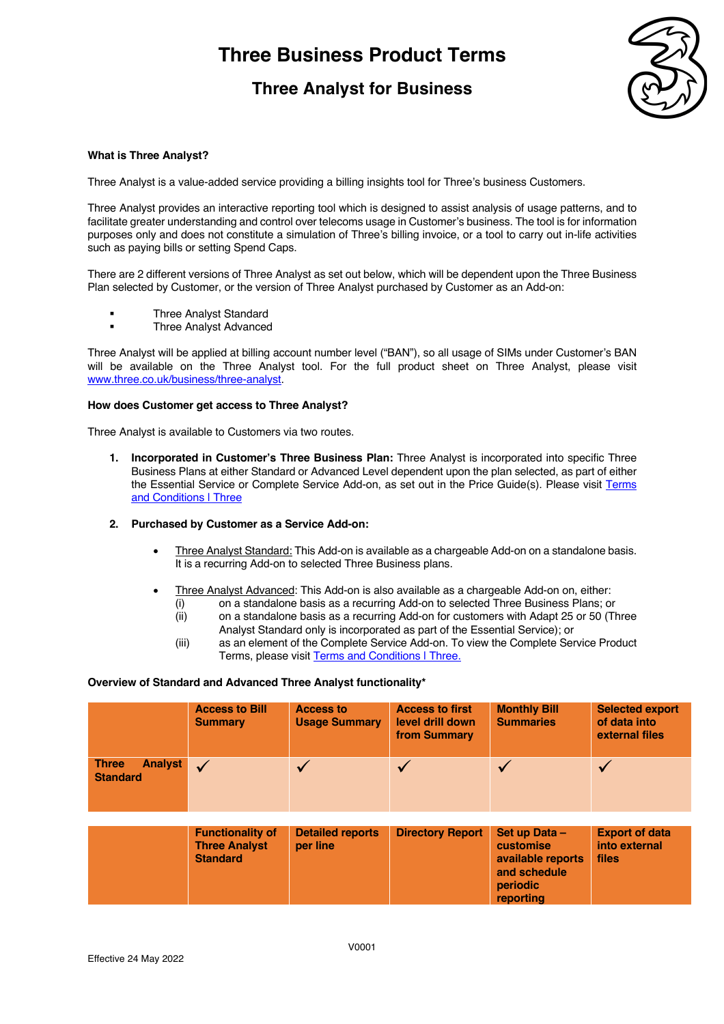### **Three Analyst for Business**



### **What is Three Analyst?**

Three Analyst is a value-added service providing a billing insights tool for Three's business Customers.

Three Analyst provides an interactive reporting tool which is designed to assist analysis of usage patterns, and to facilitate greater understanding and control over telecoms usage in Customer's business. The tool is for information purposes only and does not constitute a simulation of Three's billing invoice, or a tool to carry out in-life activities such as paying bills or setting Spend Caps.

There are 2 different versions of Three Analyst as set out below, which will be dependent upon the Three Business Plan selected by Customer, or the version of Three Analyst purchased by Customer as an Add-on:

- § Three Analyst Standard
- § Three Analyst Advanced

Three Analyst will be applied at billing account number level ("BAN"), so all usage of SIMs under Customer's BAN will be available on the Three Analyst tool. For the full product sheet on Three Analyst, please visit www.three.co.uk/business/three-analyst.

#### **How does Customer get access to Three Analyst?**

Three Analyst is available to Customers via two routes.

- **1. Incorporated in Customer's Three Business Plan:** Three Analyst is incorporated into specific Three Business Plans at either Standard or Advanced Level dependent upon the plan selected, as part of either the Essential Service or Complete Service Add-on, as set out in the Price Guide(s). Please visit Terms and Conditions | Three
- **2. Purchased by Customer as a Service Add-on:** 
	- Three Analyst Standard: This Add-on is available as a chargeable Add-on on a standalone basis. It is a recurring Add-on to selected Three Business plans.
	- Three Analyst Advanced: This Add-on is also available as a chargeable Add-on on, either:
		- (i) on a standalone basis as a recurring Add-on to selected Three Business Plans; or
		- (ii) on a standalone basis as a recurring Add-on for customers with Adapt 25 or 50 (Three Analyst Standard only is incorporated as part of the Essential Service); or
		- (iii) as an element of the Complete Service Add-on. To view the Complete Service Product Terms, please visit Terms and Conditions | Three.

#### **Overview of Standard and Advanced Three Analyst functionality\***

|                                                   | <b>Access to Bill</b><br><b>Summary</b>                            | <b>Access to</b><br><b>Usage Summary</b> | <b>Access to first</b><br>level drill down<br>from Summary | <b>Monthly Bill</b><br><b>Summaries</b>                                                         | <b>Selected export</b><br>of data into<br>external files |
|---------------------------------------------------|--------------------------------------------------------------------|------------------------------------------|------------------------------------------------------------|-------------------------------------------------------------------------------------------------|----------------------------------------------------------|
| <b>Analyst</b><br><b>Three</b><br><b>Standard</b> | $\sqrt{ }$                                                         |                                          |                                                            |                                                                                                 |                                                          |
|                                                   |                                                                    |                                          |                                                            |                                                                                                 |                                                          |
|                                                   | <b>Functionality of</b><br><b>Three Analyst</b><br><b>Standard</b> | <b>Detailed reports</b><br>per line      | <b>Directory Report</b>                                    | Set up Data -<br><b>customise</b><br>available reports<br>and schedule<br>periodic<br>reporting | <b>Export of data</b><br>into external<br>files          |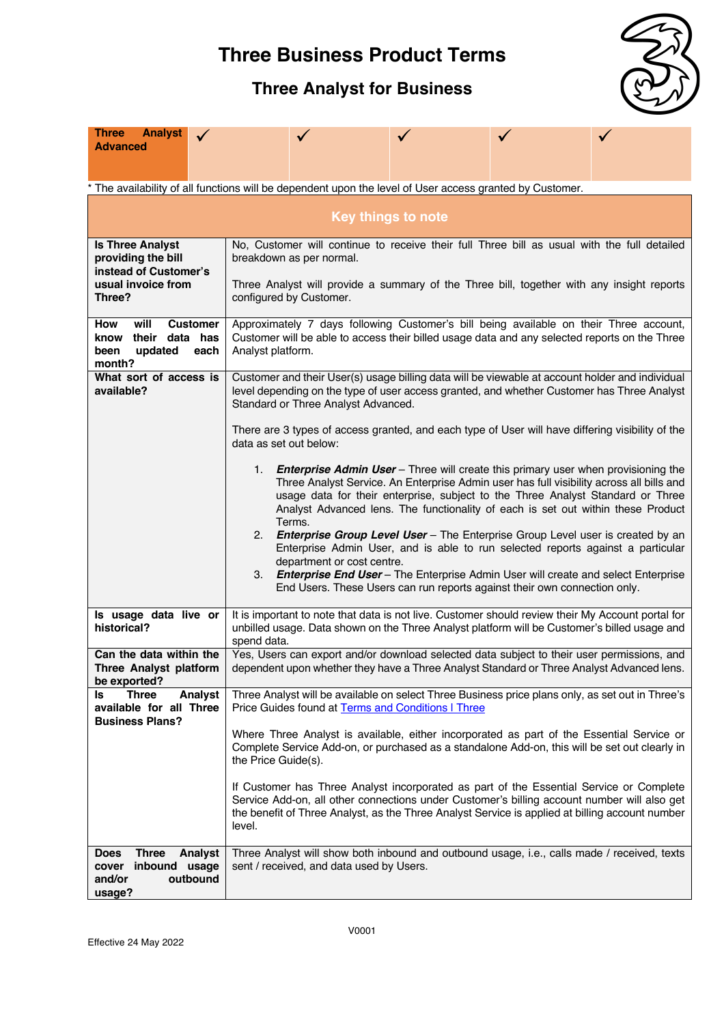## **Three Analyst for Business**



| <b>Analyst</b><br><b>Three</b><br>Advanced                                                                                                                                                                                                                                                                    |                                                                                                                                                                                                                                                                                                                                                                                                                                                                                                                                                                                   |  |  |  |  |  |
|---------------------------------------------------------------------------------------------------------------------------------------------------------------------------------------------------------------------------------------------------------------------------------------------------------------|-----------------------------------------------------------------------------------------------------------------------------------------------------------------------------------------------------------------------------------------------------------------------------------------------------------------------------------------------------------------------------------------------------------------------------------------------------------------------------------------------------------------------------------------------------------------------------------|--|--|--|--|--|
|                                                                                                                                                                                                                                                                                                               | * The availability of all functions will be dependent upon the level of User access granted by Customer.                                                                                                                                                                                                                                                                                                                                                                                                                                                                          |  |  |  |  |  |
| <b>Key things to note</b>                                                                                                                                                                                                                                                                                     |                                                                                                                                                                                                                                                                                                                                                                                                                                                                                                                                                                                   |  |  |  |  |  |
|                                                                                                                                                                                                                                                                                                               |                                                                                                                                                                                                                                                                                                                                                                                                                                                                                                                                                                                   |  |  |  |  |  |
| <b>Is Three Analyst</b><br>providing the bill                                                                                                                                                                                                                                                                 | No, Customer will continue to receive their full Three bill as usual with the full detailed<br>breakdown as per normal.                                                                                                                                                                                                                                                                                                                                                                                                                                                           |  |  |  |  |  |
| instead of Customer's<br>usual invoice from<br>Three?                                                                                                                                                                                                                                                         | Three Analyst will provide a summary of the Three bill, together with any insight reports<br>configured by Customer.                                                                                                                                                                                                                                                                                                                                                                                                                                                              |  |  |  |  |  |
| will<br><b>Customer</b><br>Approximately 7 days following Customer's bill being available on their Three account,<br>How<br>their data has<br>Customer will be able to access their billed usage data and any selected reports on the Three<br>know<br>updated<br>Analyst platform.<br>been<br>each<br>month? |                                                                                                                                                                                                                                                                                                                                                                                                                                                                                                                                                                                   |  |  |  |  |  |
| What sort of access is<br>available?                                                                                                                                                                                                                                                                          | Customer and their User(s) usage billing data will be viewable at account holder and individual<br>level depending on the type of user access granted, and whether Customer has Three Analyst<br>Standard or Three Analyst Advanced.                                                                                                                                                                                                                                                                                                                                              |  |  |  |  |  |
|                                                                                                                                                                                                                                                                                                               | There are 3 types of access granted, and each type of User will have differing visibility of the<br>data as set out below:                                                                                                                                                                                                                                                                                                                                                                                                                                                        |  |  |  |  |  |
|                                                                                                                                                                                                                                                                                                               | <b>Enterprise Admin User</b> – Three will create this primary user when provisioning the<br>1.<br>Three Analyst Service. An Enterprise Admin user has full visibility across all bills and<br>usage data for their enterprise, subject to the Three Analyst Standard or Three<br>Analyst Advanced lens. The functionality of each is set out within these Product<br>Terms.<br>2. Enterprise Group Level User - The Enterprise Group Level user is created by an<br>Enterprise Admin User, and is able to run selected reports against a particular<br>department or cost centre. |  |  |  |  |  |
|                                                                                                                                                                                                                                                                                                               | 3. Enterprise End User - The Enterprise Admin User will create and select Enterprise<br>End Users. These Users can run reports against their own connection only.                                                                                                                                                                                                                                                                                                                                                                                                                 |  |  |  |  |  |
| Is usage data live or<br>historical?                                                                                                                                                                                                                                                                          | It is important to note that data is not live. Customer should review their My Account portal for<br>unbilled usage. Data shown on the Three Analyst platform will be Customer's billed usage and<br>spend data.                                                                                                                                                                                                                                                                                                                                                                  |  |  |  |  |  |
| Can the data within the<br>Three Analyst platform<br>be exported?                                                                                                                                                                                                                                             | Yes, Users can export and/or download selected data subject to their user permissions, and<br>dependent upon whether they have a Three Analyst Standard or Three Analyst Advanced lens.                                                                                                                                                                                                                                                                                                                                                                                           |  |  |  |  |  |
| <b>Three</b><br>Analyst<br>Is<br>available for all Three<br><b>Business Plans?</b>                                                                                                                                                                                                                            | Three Analyst will be available on select Three Business price plans only, as set out in Three's<br>Price Guides found at Terms and Conditions   Three                                                                                                                                                                                                                                                                                                                                                                                                                            |  |  |  |  |  |
|                                                                                                                                                                                                                                                                                                               | Where Three Analyst is available, either incorporated as part of the Essential Service or<br>Complete Service Add-on, or purchased as a standalone Add-on, this will be set out clearly in<br>the Price Guide(s).                                                                                                                                                                                                                                                                                                                                                                 |  |  |  |  |  |
|                                                                                                                                                                                                                                                                                                               | If Customer has Three Analyst incorporated as part of the Essential Service or Complete<br>Service Add-on, all other connections under Customer's billing account number will also get<br>the benefit of Three Analyst, as the Three Analyst Service is applied at billing account number<br>level.                                                                                                                                                                                                                                                                               |  |  |  |  |  |
| <b>Three</b><br>Analyst<br><b>Does</b><br>inbound usage<br>cover<br>and/or<br>outbound<br>usage?                                                                                                                                                                                                              | Three Analyst will show both inbound and outbound usage, i.e., calls made / received, texts<br>sent / received, and data used by Users.                                                                                                                                                                                                                                                                                                                                                                                                                                           |  |  |  |  |  |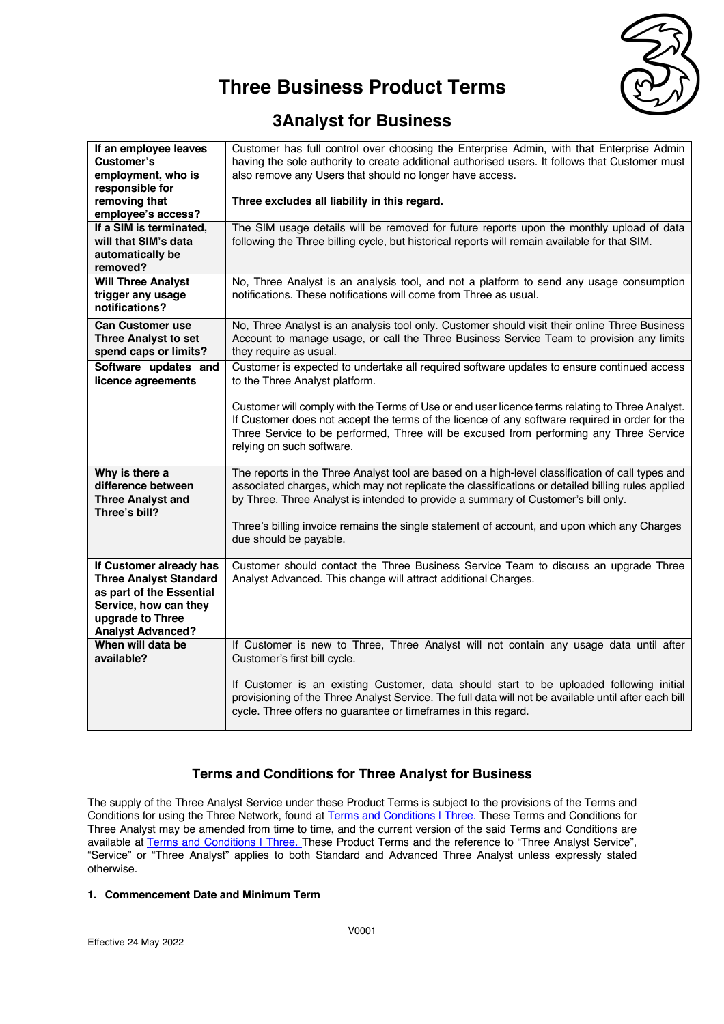

### **3Analyst for Business**

| If an employee leaves         | Customer has full control over choosing the Enterprise Admin, with that Enterprise Admin             |
|-------------------------------|------------------------------------------------------------------------------------------------------|
| Customer's                    | having the sole authority to create additional authorised users. It follows that Customer must       |
| employment, who is            | also remove any Users that should no longer have access.                                             |
| responsible for               |                                                                                                      |
| removing that                 | Three excludes all liability in this regard.                                                         |
| employee's access?            |                                                                                                      |
| If a SIM is terminated,       | The SIM usage details will be removed for future reports upon the monthly upload of data             |
| will that SIM's data          | following the Three billing cycle, but historical reports will remain available for that SIM.        |
| automatically be              |                                                                                                      |
| removed?                      |                                                                                                      |
| <b>Will Three Analyst</b>     | No, Three Analyst is an analysis tool, and not a platform to send any usage consumption              |
| trigger any usage             | notifications. These notifications will come from Three as usual.                                    |
| notifications?                |                                                                                                      |
| <b>Can Customer use</b>       | No, Three Analyst is an analysis tool only. Customer should visit their online Three Business        |
| <b>Three Analyst to set</b>   | Account to manage usage, or call the Three Business Service Team to provision any limits             |
| spend caps or limits?         | they require as usual.                                                                               |
| Software updates and          | Customer is expected to undertake all required software updates to ensure continued access           |
| licence agreements            | to the Three Analyst platform.                                                                       |
|                               |                                                                                                      |
|                               | Customer will comply with the Terms of Use or end user licence terms relating to Three Analyst.      |
|                               | If Customer does not accept the terms of the licence of any software required in order for the       |
|                               | Three Service to be performed, Three will be excused from performing any Three Service               |
|                               | relying on such software.                                                                            |
|                               |                                                                                                      |
| Why is there a                | The reports in the Three Analyst tool are based on a high-level classification of call types and     |
| difference between            | associated charges, which may not replicate the classifications or detailed billing rules applied    |
| <b>Three Analyst and</b>      | by Three. Three Analyst is intended to provide a summary of Customer's bill only.                    |
| Three's bill?                 |                                                                                                      |
|                               | Three's billing invoice remains the single statement of account, and upon which any Charges          |
|                               | due should be payable.                                                                               |
|                               |                                                                                                      |
| If Customer already has       | Customer should contact the Three Business Service Team to discuss an upgrade Three                  |
| <b>Three Analyst Standard</b> | Analyst Advanced. This change will attract additional Charges.                                       |
| as part of the Essential      |                                                                                                      |
| Service, how can they         |                                                                                                      |
| upgrade to Three              |                                                                                                      |
| <b>Analyst Advanced?</b>      |                                                                                                      |
| When will data be             | If Customer is new to Three, Three Analyst will not contain any usage data until after               |
| available?                    | Customer's first bill cycle.                                                                         |
|                               |                                                                                                      |
|                               | If Customer is an existing Customer, data should start to be uploaded following initial              |
|                               | provisioning of the Three Analyst Service. The full data will not be available until after each bill |
|                               | cycle. Three offers no guarantee or timeframes in this regard.                                       |
|                               |                                                                                                      |

### **Terms and Conditions for Three Analyst for Business**

The supply of the Three Analyst Service under these Product Terms is subject to the provisions of the Terms and Conditions for using the Three Network, found at Terms and Conditions | Three. These Terms and Conditions for Three Analyst may be amended from time to time, and the current version of the said Terms and Conditions are available at **Terms and Conditions | Three.** These Product Terms and the reference to "Three Analyst Service", "Service" or "Three Analyst" applies to both Standard and Advanced Three Analyst unless expressly stated otherwise.

### **1. Commencement Date and Minimum Term**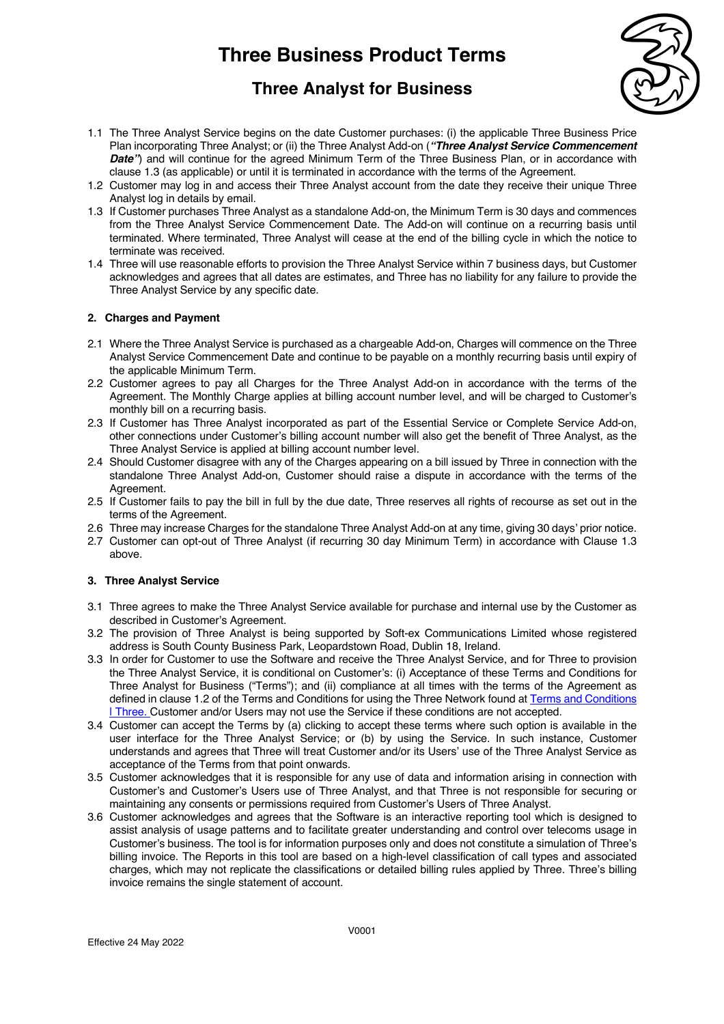

### **Three Analyst for Business**

- 1.1 The Three Analyst Service begins on the date Customer purchases: (i) the applicable Three Business Price Plan incorporating Three Analyst; or (ii) the Three Analyst Add-on (*"Three Analyst Service Commencement*  **Date**") and will continue for the agreed Minimum Term of the Three Business Plan, or in accordance with clause 1.3 (as applicable) or until it is terminated in accordance with the terms of the Agreement.
- 1.2 Customer may log in and access their Three Analyst account from the date they receive their unique Three Analyst log in details by email.
- 1.3 If Customer purchases Three Analyst as a standalone Add-on, the Minimum Term is 30 days and commences from the Three Analyst Service Commencement Date. The Add-on will continue on a recurring basis until terminated. Where terminated, Three Analyst will cease at the end of the billing cycle in which the notice to terminate was received.
- 1.4 Three will use reasonable efforts to provision the Three Analyst Service within 7 business days, but Customer acknowledges and agrees that all dates are estimates, and Three has no liability for any failure to provide the Three Analyst Service by any specific date.

### **2. Charges and Payment**

- 2.1 Where the Three Analyst Service is purchased as a chargeable Add-on, Charges will commence on the Three Analyst Service Commencement Date and continue to be payable on a monthly recurring basis until expiry of the applicable Minimum Term.
- 2.2 Customer agrees to pay all Charges for the Three Analyst Add-on in accordance with the terms of the Agreement. The Monthly Charge applies at billing account number level, and will be charged to Customer's monthly bill on a recurring basis.
- 2.3 If Customer has Three Analyst incorporated as part of the Essential Service or Complete Service Add-on, other connections under Customer's billing account number will also get the benefit of Three Analyst, as the Three Analyst Service is applied at billing account number level.
- 2.4 Should Customer disagree with any of the Charges appearing on a bill issued by Three in connection with the standalone Three Analyst Add-on, Customer should raise a dispute in accordance with the terms of the Agreement.
- 2.5 If Customer fails to pay the bill in full by the due date, Three reserves all rights of recourse as set out in the terms of the Agreement.
- 2.6 Three may increase Charges for the standalone Three Analyst Add-on at any time, giving 30 days' prior notice.
- 2.7 Customer can opt-out of Three Analyst (if recurring 30 day Minimum Term) in accordance with Clause 1.3 above.

#### **3. Three Analyst Service**

- 3.1 Three agrees to make the Three Analyst Service available for purchase and internal use by the Customer as described in Customer's Agreement.
- 3.2 The provision of Three Analyst is being supported by Soft-ex Communications Limited whose registered address is South County Business Park, Leopardstown Road, Dublin 18, Ireland.
- 3.3 In order for Customer to use the Software and receive the Three Analyst Service, and for Three to provision the Three Analyst Service, it is conditional on Customer's: (i) Acceptance of these Terms and Conditions for Three Analyst for Business ("Terms"); and (ii) compliance at all times with the terms of the Agreement as defined in clause 1.2 of the Terms and Conditions for using the Three Network found at Terms and Conditions | Three. Customer and/or Users may not use the Service if these conditions are not accepted.
- 3.4 Customer can accept the Terms by (a) clicking to accept these terms where such option is available in the user interface for the Three Analyst Service; or (b) by using the Service. In such instance, Customer understands and agrees that Three will treat Customer and/or its Users' use of the Three Analyst Service as acceptance of the Terms from that point onwards.
- 3.5 Customer acknowledges that it is responsible for any use of data and information arising in connection with Customer's and Customer's Users use of Three Analyst, and that Three is not responsible for securing or maintaining any consents or permissions required from Customer's Users of Three Analyst.
- 3.6 Customer acknowledges and agrees that the Software is an interactive reporting tool which is designed to assist analysis of usage patterns and to facilitate greater understanding and control over telecoms usage in Customer's business. The tool is for information purposes only and does not constitute a simulation of Three's billing invoice. The Reports in this tool are based on a high-level classification of call types and associated charges, which may not replicate the classifications or detailed billing rules applied by Three. Three's billing invoice remains the single statement of account.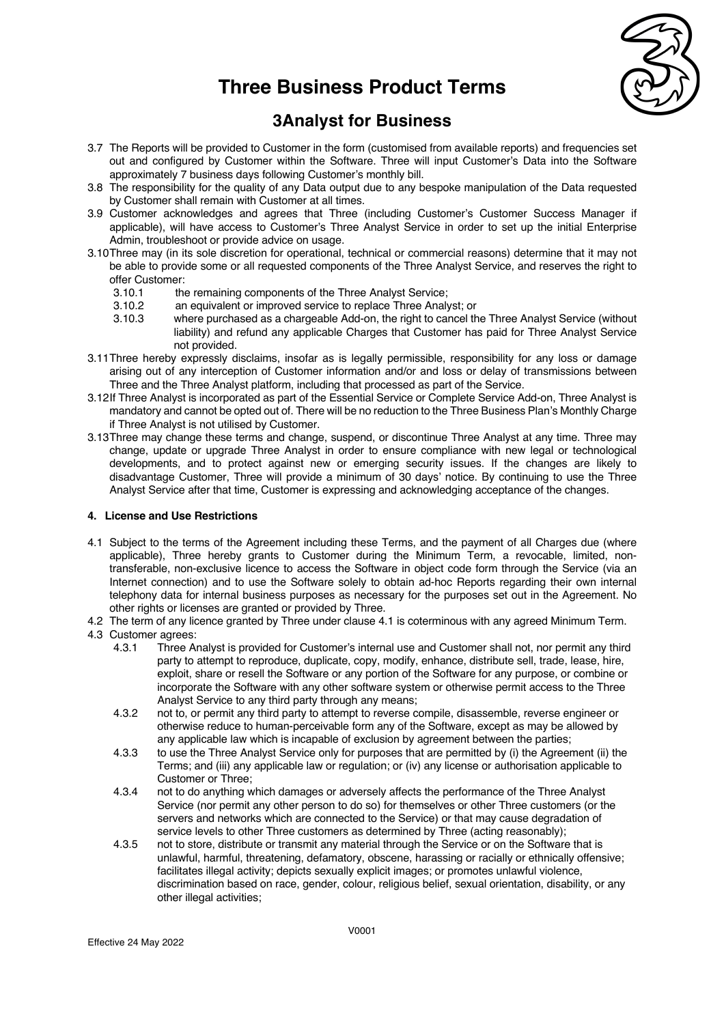

### **3Analyst for Business**

- 3.7 The Reports will be provided to Customer in the form (customised from available reports) and frequencies set out and configured by Customer within the Software. Three will input Customer's Data into the Software approximately 7 business days following Customer's monthly bill.
- 3.8 The responsibility for the quality of any Data output due to any bespoke manipulation of the Data requested by Customer shall remain with Customer at all times.
- 3.9 Customer acknowledges and agrees that Three (including Customer's Customer Success Manager if applicable), will have access to Customer's Three Analyst Service in order to set up the initial Enterprise Admin, troubleshoot or provide advice on usage.
- 3.10Three may (in its sole discretion for operational, technical or commercial reasons) determine that it may not be able to provide some or all requested components of the Three Analyst Service, and reserves the right to offer Customer:
	- 3.10.1 the remaining components of the Three Analyst Service;
	- 3.10.2 an equivalent or improved service to replace Three Analyst; or<br>3.10.3 where purchased as a chargeable Add-on the right to cancel the
	- where purchased as a chargeable Add-on, the right to cancel the Three Analyst Service (without liability) and refund any applicable Charges that Customer has paid for Three Analyst Service not provided.
- 3.11Three hereby expressly disclaims, insofar as is legally permissible, responsibility for any loss or damage arising out of any interception of Customer information and/or and loss or delay of transmissions between Three and the Three Analyst platform, including that processed as part of the Service.
- 3.12If Three Analyst is incorporated as part of the Essential Service or Complete Service Add-on, Three Analyst is mandatory and cannot be opted out of. There will be no reduction to the Three Business Plan's Monthly Charge if Three Analyst is not utilised by Customer.
- 3.13Three may change these terms and change, suspend, or discontinue Three Analyst at any time. Three may change, update or upgrade Three Analyst in order to ensure compliance with new legal or technological developments, and to protect against new or emerging security issues. If the changes are likely to disadvantage Customer, Three will provide a minimum of 30 days' notice. By continuing to use the Three Analyst Service after that time, Customer is expressing and acknowledging acceptance of the changes.

### **4. License and Use Restrictions**

- 4.1 Subject to the terms of the Agreement including these Terms, and the payment of all Charges due (where applicable), Three hereby grants to Customer during the Minimum Term, a revocable, limited, nontransferable, non-exclusive licence to access the Software in object code form through the Service (via an Internet connection) and to use the Software solely to obtain ad-hoc Reports regarding their own internal telephony data for internal business purposes as necessary for the purposes set out in the Agreement. No other rights or licenses are granted or provided by Three.
- 4.2 The term of any licence granted by Three under clause 4.1 is coterminous with any agreed Minimum Term.
- 4.3 Customer agrees:
	- 4.3.1 Three Analyst is provided for Customer's internal use and Customer shall not, nor permit any third party to attempt to reproduce, duplicate, copy, modify, enhance, distribute sell, trade, lease, hire, exploit, share or resell the Software or any portion of the Software for any purpose, or combine or incorporate the Software with any other software system or otherwise permit access to the Three Analyst Service to any third party through any means;
	- 4.3.2 not to, or permit any third party to attempt to reverse compile, disassemble, reverse engineer or otherwise reduce to human-perceivable form any of the Software, except as may be allowed by any applicable law which is incapable of exclusion by agreement between the parties;
	- 4.3.3 to use the Three Analyst Service only for purposes that are permitted by (i) the Agreement (ii) the Terms; and (iii) any applicable law or regulation; or (iv) any license or authorisation applicable to Customer or Three;
	- 4.3.4 not to do anything which damages or adversely affects the performance of the Three Analyst Service (nor permit any other person to do so) for themselves or other Three customers (or the servers and networks which are connected to the Service) or that may cause degradation of service levels to other Three customers as determined by Three (acting reasonably);
	- 4.3.5 not to store, distribute or transmit any material through the Service or on the Software that is unlawful, harmful, threatening, defamatory, obscene, harassing or racially or ethnically offensive; facilitates illegal activity; depicts sexually explicit images; or promotes unlawful violence, discrimination based on race, gender, colour, religious belief, sexual orientation, disability, or any other illegal activities;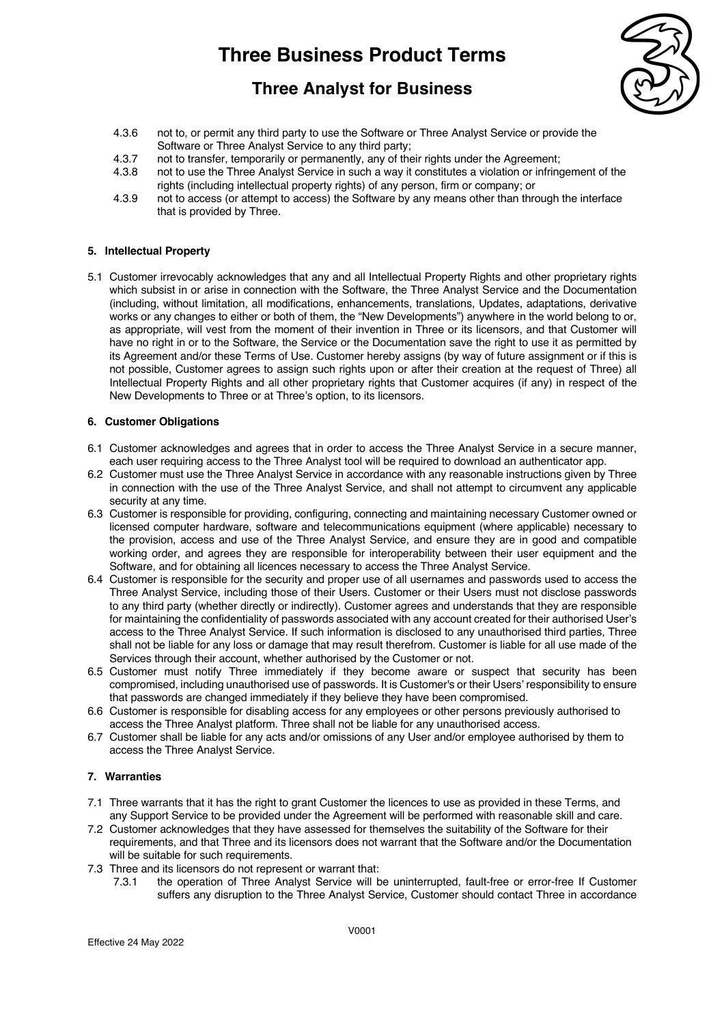### **Three Analyst for Business**



- 4.3.6 not to, or permit any third party to use the Software or Three Analyst Service or provide the Software or Three Analyst Service to any third party;
- 4.3.7 not to transfer, temporarily or permanently, any of their rights under the Agreement;
- 4.3.8 not to use the Three Analyst Service in such a way it constitutes a violation or infringement of the rights (including intellectual property rights) of any person, firm or company; or
- 4.3.9 not to access (or attempt to access) the Software by any means other than through the interface that is provided by Three.

#### **5. Intellectual Property**

5.1 Customer irrevocably acknowledges that any and all Intellectual Property Rights and other proprietary rights which subsist in or arise in connection with the Software, the Three Analyst Service and the Documentation (including, without limitation, all modifications, enhancements, translations, Updates, adaptations, derivative works or any changes to either or both of them, the "New Developments") anywhere in the world belong to or, as appropriate, will vest from the moment of their invention in Three or its licensors, and that Customer will have no right in or to the Software, the Service or the Documentation save the right to use it as permitted by its Agreement and/or these Terms of Use. Customer hereby assigns (by way of future assignment or if this is not possible, Customer agrees to assign such rights upon or after their creation at the request of Three) all Intellectual Property Rights and all other proprietary rights that Customer acquires (if any) in respect of the New Developments to Three or at Three's option, to its licensors.

#### **6. Customer Obligations**

- 6.1 Customer acknowledges and agrees that in order to access the Three Analyst Service in a secure manner, each user requiring access to the Three Analyst tool will be required to download an authenticator app.
- 6.2 Customer must use the Three Analyst Service in accordance with any reasonable instructions given by Three in connection with the use of the Three Analyst Service, and shall not attempt to circumvent any applicable security at any time.
- 6.3 Customer is responsible for providing, configuring, connecting and maintaining necessary Customer owned or licensed computer hardware, software and telecommunications equipment (where applicable) necessary to the provision, access and use of the Three Analyst Service, and ensure they are in good and compatible working order, and agrees they are responsible for interoperability between their user equipment and the Software, and for obtaining all licences necessary to access the Three Analyst Service.
- 6.4 Customer is responsible for the security and proper use of all usernames and passwords used to access the Three Analyst Service, including those of their Users. Customer or their Users must not disclose passwords to any third party (whether directly or indirectly). Customer agrees and understands that they are responsible for maintaining the confidentiality of passwords associated with any account created for their authorised User's access to the Three Analyst Service. If such information is disclosed to any unauthorised third parties, Three shall not be liable for any loss or damage that may result therefrom. Customer is liable for all use made of the Services through their account, whether authorised by the Customer or not.
- 6.5 Customer must notify Three immediately if they become aware or suspect that security has been compromised, including unauthorised use of passwords. It is Customer's or their Users' responsibility to ensure that passwords are changed immediately if they believe they have been compromised.
- 6.6 Customer is responsible for disabling access for any employees or other persons previously authorised to access the Three Analyst platform. Three shall not be liable for any unauthorised access.
- 6.7 Customer shall be liable for any acts and/or omissions of any User and/or employee authorised by them to access the Three Analyst Service.

### **7. Warranties**

- 7.1 Three warrants that it has the right to grant Customer the licences to use as provided in these Terms, and any Support Service to be provided under the Agreement will be performed with reasonable skill and care.
- 7.2 Customer acknowledges that they have assessed for themselves the suitability of the Software for their requirements, and that Three and its licensors does not warrant that the Software and/or the Documentation will be suitable for such requirements.
- 7.3 Three and its licensors do not represent or warrant that:
	- 7.3.1 the operation of Three Analyst Service will be uninterrupted, fault-free or error-free If Customer suffers any disruption to the Three Analyst Service, Customer should contact Three in accordance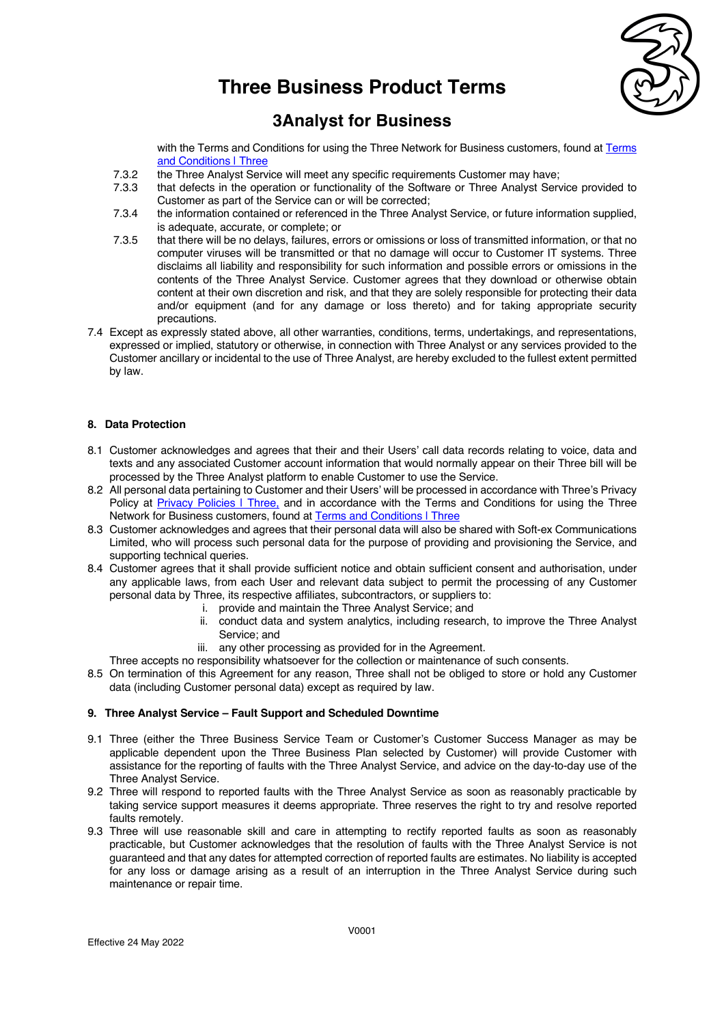

### **3Analyst for Business**

with the Terms and Conditions for using the Three Network for Business customers, found at Terms and Conditions | Three

- 7.3.2 the Three Analyst Service will meet any specific requirements Customer may have;
- 7.3.3 that defects in the operation or functionality of the Software or Three Analyst Service provided to Customer as part of the Service can or will be corrected;
- 7.3.4 the information contained or referenced in the Three Analyst Service, or future information supplied, is adequate, accurate, or complete; or
- 7.3.5 that there will be no delays, failures, errors or omissions or loss of transmitted information, or that no computer viruses will be transmitted or that no damage will occur to Customer IT systems. Three disclaims all liability and responsibility for such information and possible errors or omissions in the contents of the Three Analyst Service. Customer agrees that they download or otherwise obtain content at their own discretion and risk, and that they are solely responsible for protecting their data and/or equipment (and for any damage or loss thereto) and for taking appropriate security precautions.
- 7.4 Except as expressly stated above, all other warranties, conditions, terms, undertakings, and representations, expressed or implied, statutory or otherwise, in connection with Three Analyst or any services provided to the Customer ancillary or incidental to the use of Three Analyst, are hereby excluded to the fullest extent permitted by law.

### **8. Data Protection**

- 8.1 Customer acknowledges and agrees that their and their Users' call data records relating to voice, data and texts and any associated Customer account information that would normally appear on their Three bill will be processed by the Three Analyst platform to enable Customer to use the Service.
- 8.2 All personal data pertaining to Customer and their Users' will be processed in accordance with Three's Privacy Policy at Privacy Policies | Three, and in accordance with the Terms and Conditions for using the Three Network for Business customers, found at Terms and Conditions | Three
- 8.3 Customer acknowledges and agrees that their personal data will also be shared with Soft-ex Communications Limited, who will process such personal data for the purpose of providing and provisioning the Service, and supporting technical queries.
- 8.4 Customer agrees that it shall provide sufficient notice and obtain sufficient consent and authorisation, under any applicable laws, from each User and relevant data subject to permit the processing of any Customer personal data by Three, its respective affiliates, subcontractors, or suppliers to:
	- i. provide and maintain the Three Analyst Service; and
	- ii. conduct data and system analytics, including research, to improve the Three Analyst Service; and
	- iii. any other processing as provided for in the Agreement.
	- Three accepts no responsibility whatsoever for the collection or maintenance of such consents.
- 8.5 On termination of this Agreement for any reason, Three shall not be obliged to store or hold any Customer data (including Customer personal data) except as required by law.

### **9. Three Analyst Service – Fault Support and Scheduled Downtime**

- 9.1 Three (either the Three Business Service Team or Customer's Customer Success Manager as may be applicable dependent upon the Three Business Plan selected by Customer) will provide Customer with assistance for the reporting of faults with the Three Analyst Service, and advice on the day-to-day use of the Three Analyst Service.
- 9.2 Three will respond to reported faults with the Three Analyst Service as soon as reasonably practicable by taking service support measures it deems appropriate. Three reserves the right to try and resolve reported faults remotely.
- 9.3 Three will use reasonable skill and care in attempting to rectify reported faults as soon as reasonably practicable, but Customer acknowledges that the resolution of faults with the Three Analyst Service is not guaranteed and that any dates for attempted correction of reported faults are estimates. No liability is accepted for any loss or damage arising as a result of an interruption in the Three Analyst Service during such maintenance or repair time.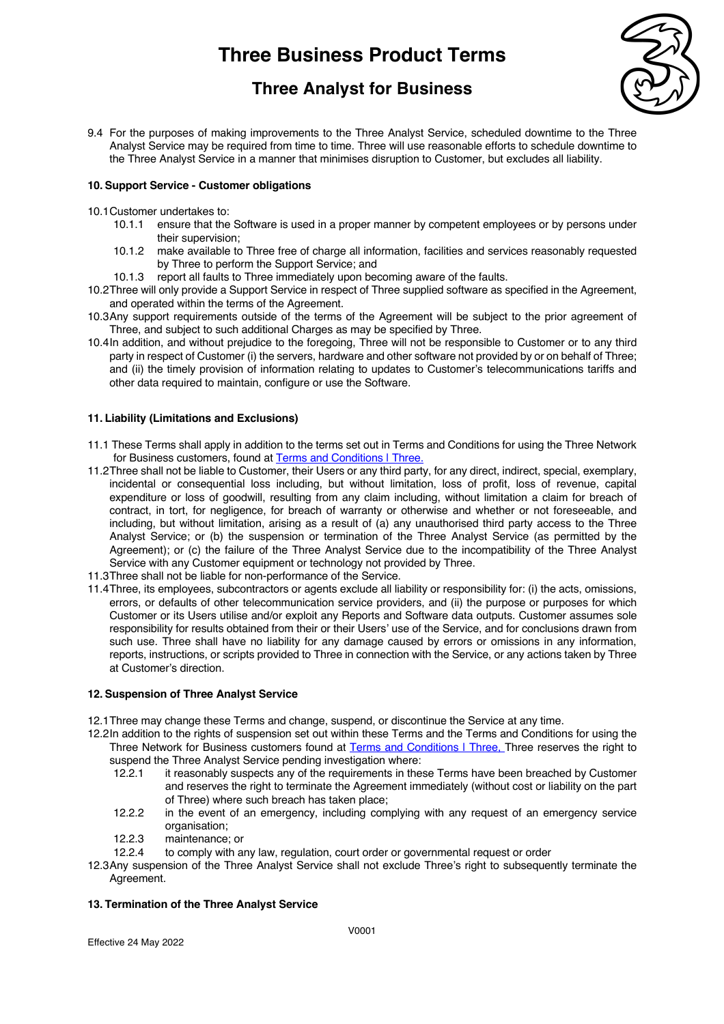## **Three Analyst for Business**



9.4 For the purposes of making improvements to the Three Analyst Service, scheduled downtime to the Three Analyst Service may be required from time to time. Three will use reasonable efforts to schedule downtime to the Three Analyst Service in a manner that minimises disruption to Customer, but excludes all liability.

### **10. Support Service - Customer obligations**

- 10.1Customer undertakes to:
	- 10.1.1 ensure that the Software is used in a proper manner by competent employees or by persons under their supervision;
	- 10.1.2 make available to Three free of charge all information, facilities and services reasonably requested by Three to perform the Support Service; and
	- 10.1.3 report all faults to Three immediately upon becoming aware of the faults.
- 10.2Three will only provide a Support Service in respect of Three supplied software as specified in the Agreement, and operated within the terms of the Agreement.
- 10.3Any support requirements outside of the terms of the Agreement will be subject to the prior agreement of Three, and subject to such additional Charges as may be specified by Three.
- 10.4In addition, and without prejudice to the foregoing, Three will not be responsible to Customer or to any third party in respect of Customer (i) the servers, hardware and other software not provided by or on behalf of Three; and (ii) the timely provision of information relating to updates to Customer's telecommunications tariffs and other data required to maintain, configure or use the Software.

### **11. Liability (Limitations and Exclusions)**

- 11.1 These Terms shall apply in addition to the terms set out in Terms and Conditions for using the Three Network for Business customers, found at **Terms and Conditions | Three.**
- 11.2Three shall not be liable to Customer, their Users or any third party, for any direct, indirect, special, exemplary, incidental or consequential loss including, but without limitation, loss of profit, loss of revenue, capital expenditure or loss of goodwill, resulting from any claim including, without limitation a claim for breach of contract, in tort, for negligence, for breach of warranty or otherwise and whether or not foreseeable, and including, but without limitation, arising as a result of (a) any unauthorised third party access to the Three Analyst Service; or (b) the suspension or termination of the Three Analyst Service (as permitted by the Agreement); or (c) the failure of the Three Analyst Service due to the incompatibility of the Three Analyst Service with any Customer equipment or technology not provided by Three.
- 11.3Three shall not be liable for non-performance of the Service.
- 11.4Three, its employees, subcontractors or agents exclude all liability or responsibility for: (i) the acts, omissions, errors, or defaults of other telecommunication service providers, and (ii) the purpose or purposes for which Customer or its Users utilise and/or exploit any Reports and Software data outputs. Customer assumes sole responsibility for results obtained from their or their Users' use of the Service, and for conclusions drawn from such use. Three shall have no liability for any damage caused by errors or omissions in any information, reports, instructions, or scripts provided to Three in connection with the Service, or any actions taken by Three at Customer's direction.

#### **12. Suspension of Three Analyst Service**

- 12.1Three may change these Terms and change, suspend, or discontinue the Service at any time.
- 12.2In addition to the rights of suspension set out within these Terms and the Terms and Conditions for using the Three Network for Business customers found at Terms and Conditions | Three, Three reserves the right to suspend the Three Analyst Service pending investigation where:
	- 12.2.1 it reasonably suspects any of the requirements in these Terms have been breached by Customer and reserves the right to terminate the Agreement immediately (without cost or liability on the part of Three) where such breach has taken place;
	- 12.2.2 in the event of an emergency, including complying with any request of an emergency service organisation;
	- 12.2.3 maintenance; or
	- 12.2.4 to comply with any law, regulation, court order or governmental request or order

12.3Any suspension of the Three Analyst Service shall not exclude Three's right to subsequently terminate the Agreement.

#### **13. Termination of the Three Analyst Service**